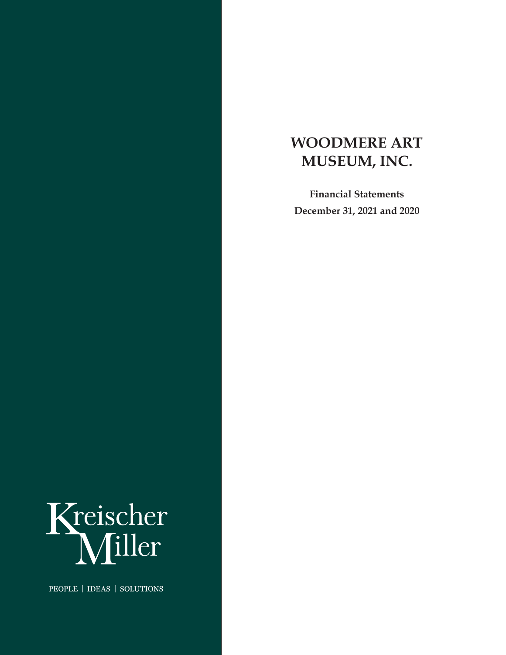**Financial Statements December 31, 2021 and 2020** 



PEOPLE | IDEAS | SOLUTIONS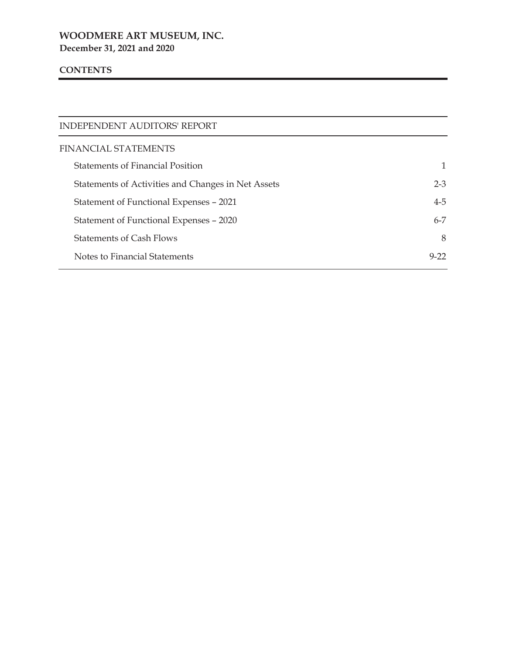# **CONTENTS**

| <b>INDEPENDENT AUDITORS' REPORT</b>                |          |
|----------------------------------------------------|----------|
| <b>FINANCIAL STATEMENTS</b>                        |          |
| Statements of Financial Position                   | 1        |
| Statements of Activities and Changes in Net Assets | $2 - 3$  |
| Statement of Functional Expenses - 2021            | $4 - 5$  |
| Statement of Functional Expenses - 2020            | $6 - 7$  |
| <b>Statements of Cash Flows</b>                    | 8        |
| Notes to Financial Statements                      | $9 - 22$ |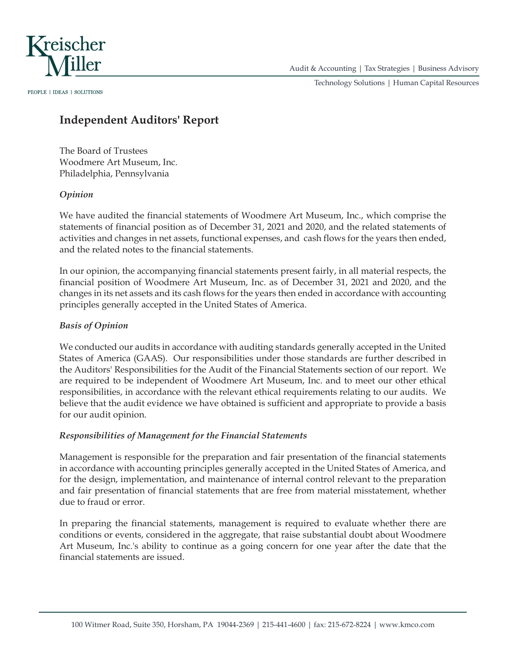

PEOPLE | IDEAS | SOLUTIONS

Audit & Accounting | Tax Strategies | Business Advisory

Technology Solutions | Human Capital Resources

# **Independent Auditors' Report**

The Board of Trustees Woodmere Art Museum, Inc. Philadelphia, Pennsylvania

#### *Opinion*

We have audited the financial statements of Woodmere Art Museum, Inc., which comprise the statements of financial position as of December 31, 2021 and 2020, and the related statements of activities and changes in net assets, functional expenses, and cash flows for the years then ended, and the related notes to the financial statements.

In our opinion, the accompanying financial statements present fairly, in all material respects, the financial position of Woodmere Art Museum, Inc. as of December 31, 2021 and 2020, and the changes in its net assets and its cash flows for the years then ended in accordance with accounting principles generally accepted in the United States of America.

## *Basis of Opinion*

We conducted our audits in accordance with auditing standards generally accepted in the United States of America (GAAS). Our responsibilities under those standards are further described in the Auditors' Responsibilities for the Audit of the Financial Statements section of our report. We are required to be independent of Woodmere Art Museum, Inc. and to meet our other ethical responsibilities, in accordance with the relevant ethical requirements relating to our audits. We believe that the audit evidence we have obtained is sufficient and appropriate to provide a basis for our audit opinion.

#### *Responsibilities of Management for the Financial Statements*

Management is responsible for the preparation and fair presentation of the financial statements in accordance with accounting principles generally accepted in the United States of America, and for the design, implementation, and maintenance of internal control relevant to the preparation and fair presentation of financial statements that are free from material misstatement, whether due to fraud or error.

In preparing the financial statements, management is required to evaluate whether there are conditions or events, considered in the aggregate, that raise substantial doubt about Woodmere Art Museum, Inc.'s ability to continue as a going concern for one year after the date that the financial statements are issued.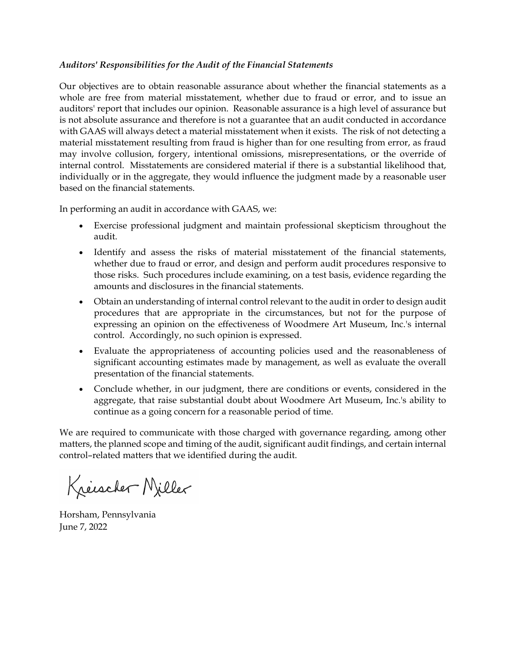#### *Auditors' Responsibilities for the Audit of the Financial Statements*

Our objectives are to obtain reasonable assurance about whether the financial statements as a whole are free from material misstatement, whether due to fraud or error, and to issue an auditors' report that includes our opinion. Reasonable assurance is a high level of assurance but is not absolute assurance and therefore is not a guarantee that an audit conducted in accordance with GAAS will always detect a material misstatement when it exists. The risk of not detecting a material misstatement resulting from fraud is higher than for one resulting from error, as fraud may involve collusion, forgery, intentional omissions, misrepresentations, or the override of internal control. Misstatements are considered material if there is a substantial likelihood that, individually or in the aggregate, they would influence the judgment made by a reasonable user based on the financial statements.

In performing an audit in accordance with GAAS, we:

- Exercise professional judgment and maintain professional skepticism throughout the audit.
- Identify and assess the risks of material misstatement of the financial statements, whether due to fraud or error, and design and perform audit procedures responsive to those risks. Such procedures include examining, on a test basis, evidence regarding the amounts and disclosures in the financial statements.
- Obtain an understanding of internal control relevant to the audit in order to design audit procedures that are appropriate in the circumstances, but not for the purpose of expressing an opinion on the effectiveness of Woodmere Art Museum, Inc.'s internal control. Accordingly, no such opinion is expressed.
- Evaluate the appropriateness of accounting policies used and the reasonableness of significant accounting estimates made by management, as well as evaluate the overall presentation of the financial statements.
- Conclude whether, in our judgment, there are conditions or events, considered in the aggregate, that raise substantial doubt about Woodmere Art Museum, Inc.'s ability to continue as a going concern for a reasonable period of time.

We are required to communicate with those charged with governance regarding, among other matters, the planned scope and timing of the audit, significant audit findings, and certain internal control–related matters that we identified during the audit.

Kreischer Niller

Horsham, Pennsylvania June 7, 2022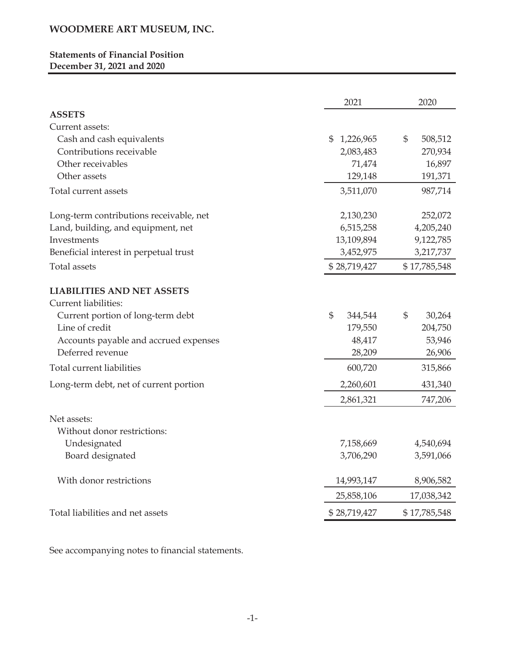# **Statements of Financial Position December 31, 2021 and 2020**

|                                                           | 2021                      | 2020                      |
|-----------------------------------------------------------|---------------------------|---------------------------|
| <b>ASSETS</b>                                             |                           |                           |
| Current assets:                                           |                           |                           |
| Cash and cash equivalents                                 | 1,226,965<br>\$           | $\mathfrak{S}$<br>508,512 |
| Contributions receivable                                  | 2,083,483                 | 270,934                   |
| Other receivables                                         | 71,474                    | 16,897                    |
| Other assets                                              | 129,148                   | 191,371                   |
| Total current assets                                      | 3,511,070                 | 987,714                   |
| Long-term contributions receivable, net                   | 2,130,230                 | 252,072                   |
| Land, building, and equipment, net                        | 6,515,258                 | 4,205,240                 |
| Investments                                               | 13,109,894                | 9,122,785                 |
| Beneficial interest in perpetual trust                    | 3,452,975                 | 3,217,737                 |
| <b>Total</b> assets                                       | \$28,719,427              | \$17,785,548              |
| <b>LIABILITIES AND NET ASSETS</b><br>Current liabilities: |                           |                           |
| Current portion of long-term debt                         | $\mathfrak{S}$<br>344,544 | $\mathfrak{S}$<br>30,264  |
| Line of credit                                            | 179,550                   | 204,750                   |
| Accounts payable and accrued expenses                     | 48,417                    | 53,946                    |
| Deferred revenue                                          | 28,209                    | 26,906                    |
| Total current liabilities                                 | 600,720                   | 315,866                   |
| Long-term debt, net of current portion                    | 2,260,601                 | 431,340                   |
|                                                           | 2,861,321                 | 747,206                   |
| Net assets:                                               |                           |                           |
| Without donor restrictions:                               |                           |                           |
| Undesignated                                              | 7,158,669                 | 4,540,694                 |
| Board designated                                          | 3,706,290                 | 3,591,066                 |
| With donor restrictions                                   | 14,993,147                | 8,906,582                 |
|                                                           | 25,858,106                | 17,038,342                |
| Total liabilities and net assets                          | \$28,719,427              | \$17,785,548              |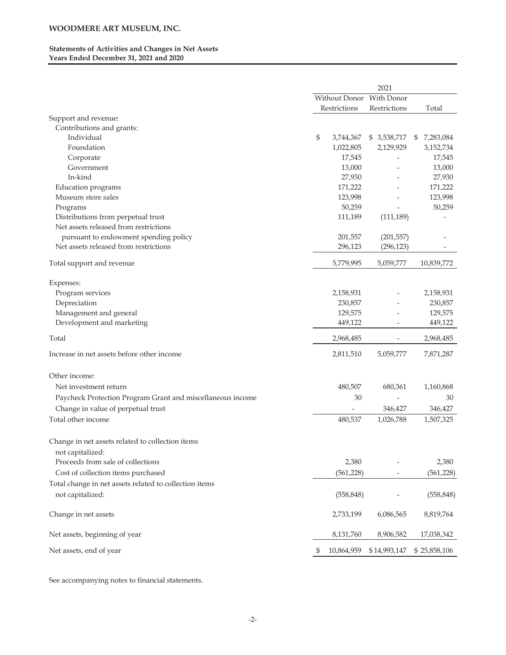#### **Statements of Activities and Changes in Net Assets Years Ended December 31, 2021 and 2020**

|                                                            | 2021 |               |              |    |              |
|------------------------------------------------------------|------|---------------|--------------|----|--------------|
|                                                            |      | Without Donor | With Donor   |    |              |
|                                                            |      | Restrictions  | Restrictions |    | Total        |
| Support and revenue:                                       |      |               |              |    |              |
| Contributions and grants:                                  |      |               |              |    |              |
| Individual                                                 | \$   | 3,744,367     | \$ 3,538,717 | \$ | 7,283,084    |
| Foundation                                                 |      | 1,022,805     | 2,129,929    |    | 3,152,734    |
| Corporate                                                  |      | 17,545        |              |    | 17,545       |
| Government                                                 |      | 13,000        |              |    | 13,000       |
| In-kind                                                    |      | 27,930        |              |    | 27,930       |
| <b>Education</b> programs                                  |      | 171,222       |              |    | 171,222      |
| Museum store sales                                         |      | 123,998       |              |    | 123,998      |
| Programs                                                   |      | 50,259        |              |    | 50,259       |
| Distributions from perpetual trust                         |      | 111,189       | (111, 189)   |    |              |
| Net assets released from restrictions                      |      |               |              |    |              |
| pursuant to endowment spending policy                      |      | 201,557       | (201, 557)   |    |              |
| Net assets released from restrictions                      |      | 296,123       | (296, 123)   |    |              |
| Total support and revenue                                  |      | 5,779,995     | 5,059,777    |    | 10,839,772   |
| Expenses:                                                  |      |               |              |    |              |
| Program services                                           |      | 2,158,931     |              |    | 2,158,931    |
| Depreciation                                               |      | 230,857       |              |    | 230,857      |
| Management and general                                     |      | 129,575       |              |    | 129,575      |
| Development and marketing                                  |      | 449,122       |              |    | 449,122      |
| Total                                                      |      | 2,968,485     |              |    | 2,968,485    |
| Increase in net assets before other income                 |      | 2,811,510     | 5,059,777    |    | 7,871,287    |
| Other income:                                              |      |               |              |    |              |
| Net investment return                                      |      | 480,507       | 680,361      |    | 1,160,868    |
| Paycheck Protection Program Grant and miscellaneous income |      | 30            |              |    | 30           |
| Change in value of perpetual trust                         |      |               | 346,427      |    | 346,427      |
| Total other income                                         |      | 480,537       | 1,026,788    |    | 1,507,325    |
|                                                            |      |               |              |    |              |
| Change in net assets related to collection items           |      |               |              |    |              |
| not capitalized:                                           |      |               |              |    |              |
| Proceeds from sale of collections                          |      | 2,380         |              |    | 2,380        |
| Cost of collection items purchased                         |      | (561, 228)    |              |    | (561, 228)   |
| Total change in net assets related to collection items     |      |               |              |    |              |
| not capitalized:                                           |      | (558, 848)    |              |    | (558, 848)   |
| Change in net assets                                       |      | 2,733,199     | 6,086,565    |    | 8,819,764    |
| Net assets, beginning of year                              |      | 8,131,760     | 8,906,582    |    | 17,038,342   |
| Net assets, end of year                                    | \$   | 10,864,959    | \$14,993,147 |    | \$25,858,106 |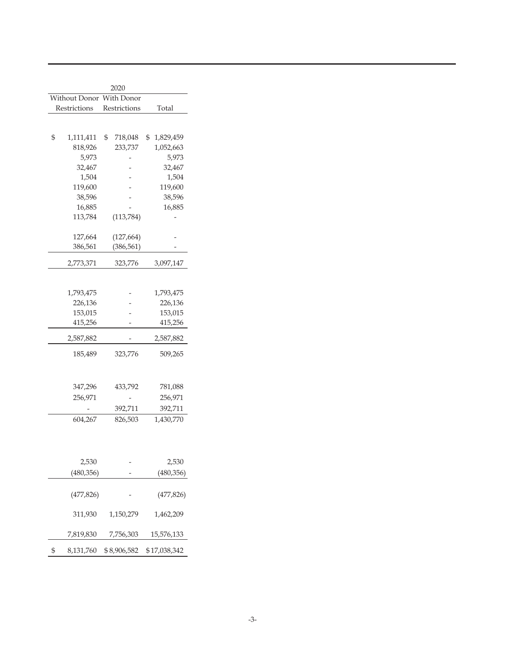|                 | 2020                     |                 |
|-----------------|--------------------------|-----------------|
|                 | Without Donor With Donor |                 |
| Restrictions    | Restrictions             | Total           |
|                 |                          |                 |
|                 |                          |                 |
| \$<br>1,111,411 | \$<br>718,048            | \$<br>1,829,459 |
| 818,926         | 233,737                  | 1,052,663       |
| 5,973           |                          | 5,973           |
| 32,467          |                          | 32,467          |
| 1,504           |                          | 1,504           |
| 119,600         |                          | 119,600         |
| 38,596          |                          | 38,596          |
| 16,885          |                          | 16,885          |
| 113,784         | (113, 784)               |                 |
| 127,664         | (127, 664)               |                 |
| 386,561         | (386, 561)               |                 |
| 2,773,371       | 323,776                  | 3,097,147       |
|                 |                          |                 |
| 1,793,475       |                          | 1,793,475       |
| 226,136         |                          | 226,136         |
| 153,015         |                          | 153,015         |
| 415,256         |                          | 415,256         |
| 2,587,882       |                          | 2,587,882       |
| 185,489         | 323,776                  | 509,265         |
|                 |                          |                 |
| 347,296         | 433,792                  | 781,088         |
| 256,971         |                          | 256,971         |
|                 | 392,711                  | 392,711         |
| 604,267         |                          |                 |
|                 | 826,503                  | 1,430,770       |
|                 |                          |                 |
|                 |                          |                 |
| 2,530           |                          | 2,530           |
| (480, 356)      |                          | (480, 356)      |
| (477, 826)      |                          | (477, 826)      |
|                 |                          |                 |
| 311,930         | 1,150,279                | 1,462,209       |
| 7,819,830       | 7,756,303                | 15,576,133      |
| \$<br>8,131,760 | \$8,906,582              | \$17,038,342    |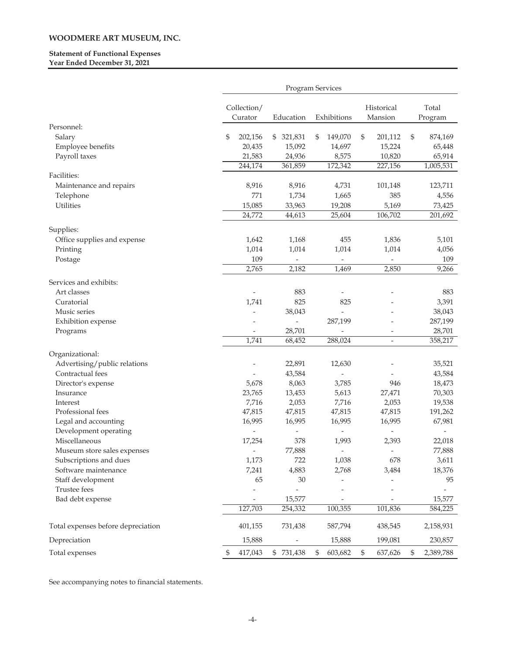#### **Statement of Functional Expenses Year Ended December 31, 2021**

|                                    | Program Services |                          |    |                          |                          |                          |                  |
|------------------------------------|------------------|--------------------------|----|--------------------------|--------------------------|--------------------------|------------------|
|                                    |                  |                          |    |                          |                          |                          |                  |
|                                    |                  | Collection/<br>Curator   |    | Education                | Exhibitions              | Historical<br>Mansion    | Total<br>Program |
| Personnel:                         |                  |                          |    |                          |                          |                          |                  |
| Salary                             | \$               | 202,156                  | \$ | 321,831                  | \$<br>149,070            | \$<br>201,112            | \$<br>874,169    |
| Employee benefits                  |                  | 20,435                   |    | 15,092                   | 14,697                   | 15,224                   | 65,448           |
| Payroll taxes                      |                  | 21,583                   |    | 24,936                   | 8,575                    | 10,820                   | 65,914           |
|                                    |                  | 244,174                  |    | 361,859                  | 172,342                  | 227,156                  | 1,005,531        |
| Facilities:                        |                  |                          |    |                          |                          |                          |                  |
| Maintenance and repairs            |                  | 8,916                    |    | 8,916                    | 4,731                    | 101,148                  | 123,711          |
| Telephone                          |                  | 771                      |    | 1,734                    | 1,665                    | 385                      | 4,556            |
| Utilities                          |                  | 15,085                   |    | 33,963                   | 19,208                   | 5,169                    | 73,425           |
|                                    |                  | 24,772                   |    | 44,613                   | 25,604                   | 106,702                  | 201,692          |
| Supplies:                          |                  |                          |    |                          |                          |                          |                  |
| Office supplies and expense        |                  | 1,642                    |    | 1,168                    | 455                      | 1,836                    | 5,101            |
| Printing                           |                  | 1,014                    |    | 1,014                    | 1,014                    | 1,014                    | 4,056            |
| Postage                            |                  | 109                      |    | $\overline{\phantom{a}}$ | $\overline{\phantom{a}}$ | $\overline{\phantom{a}}$ | 109              |
|                                    |                  | 2,765                    |    | 2,182                    | 1.469                    | 2,850                    | 9,266            |
| Services and exhibits:             |                  |                          |    |                          |                          |                          |                  |
| Art classes                        |                  |                          |    | 883                      | $\overline{\phantom{a}}$ |                          | 883              |
| Curatorial                         |                  | 1,741                    |    | 825                      | 825                      |                          | 3,391            |
| Music series                       |                  |                          |    | 38,043                   |                          |                          | 38,043           |
| Exhibition expense                 |                  |                          |    |                          | 287,199                  |                          | 287,199          |
| Programs                           |                  |                          |    | 28,701                   |                          | $\overline{\phantom{a}}$ | 28,701           |
|                                    |                  | 1,741                    |    | 68,452                   | 288,024                  | $\overline{\phantom{a}}$ | 358,217          |
| Organizational:                    |                  |                          |    |                          |                          |                          |                  |
| Advertising/public relations       |                  |                          |    | 22,891                   | 12,630                   |                          | 35,521           |
| Contractual fees                   |                  |                          |    | 43,584                   |                          |                          | 43,584           |
| Director's expense                 |                  | 5,678                    |    | 8,063                    | 3,785                    | 946                      | 18,473           |
| Insurance                          |                  | 23,765                   |    | 13,453                   | 5,613                    | 27,471                   | 70,303           |
| Interest                           |                  | 7,716                    |    | 2,053                    | 7,716                    | 2,053                    | 19,538           |
| Professional fees                  |                  | 47,815                   |    | 47,815                   | 47,815                   | 47,815                   | 191,262          |
| Legal and accounting               |                  | 16,995                   |    | 16,995                   | 16,995                   | 16,995                   | 67,981           |
| Development operating              |                  |                          |    |                          | $\overline{a}$           |                          |                  |
| Miscellaneous                      |                  | 17,254                   |    | 378                      | 1,993                    | 2,393                    | 22,018           |
| Museum store sales expenses        |                  | $\overline{\phantom{a}}$ |    | 77,888                   | $\overline{\phantom{a}}$ | $\overline{\phantom{a}}$ | 77,888           |
| Subscriptions and dues             |                  | 1,173                    |    | 722                      | 1,038                    | 678                      | 3,611            |
| Software maintenance               |                  | 7,241                    |    | 4,883                    | 2,768                    | 3,484                    | 18,376           |
| Staff development                  |                  | 65                       |    | 30                       |                          |                          | 95               |
| Trustee fees                       |                  |                          |    |                          |                          |                          |                  |
| Bad debt expense                   |                  |                          |    | 15,577                   |                          |                          | 15,577           |
|                                    |                  | 127,703                  |    | 254,332                  | 100,355                  | 101,836                  | 584,225          |
| Total expenses before depreciation |                  | 401,155                  |    | 731,438                  | 587,794                  | 438,545                  | 2,158,931        |
| Depreciation                       |                  | 15,888                   |    |                          | 15,888                   | 199,081                  | 230,857          |
| Total expenses                     | \$               | 417,043                  |    | \$731,438                | \$<br>603,682            | \$<br>637,626            | \$<br>2,389,788  |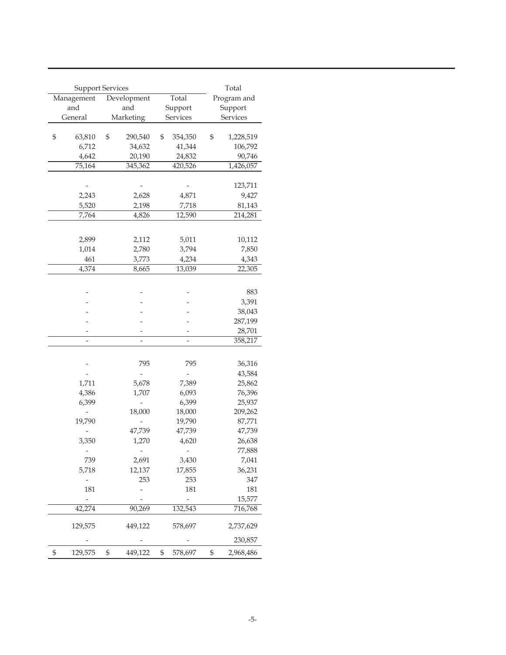| <b>Support Services</b>      |    |                          |       |                          |    | Total       |
|------------------------------|----|--------------------------|-------|--------------------------|----|-------------|
| Management                   |    | Development              | Total |                          |    | Program and |
| and                          |    | and                      |       | Support                  |    | Support     |
| General                      |    | Marketing                |       | Services                 |    | Services    |
|                              |    |                          |       |                          |    |             |
| \$<br>63,810                 | \$ | 290,540                  | \$    | 354,350                  | \$ | 1,228,519   |
| 6,712                        |    | 34,632                   |       | 41,344                   |    | 106,792     |
| 4,642                        |    | 20,190                   |       | 24,832                   |    | 90,746      |
| 75,164                       |    | 345,362                  |       | 420,526                  |    | 1,426,057   |
|                              |    |                          |       |                          |    |             |
|                              |    |                          |       |                          |    | 123,711     |
| 2,243                        |    | 2,628                    |       | 4,871                    |    | 9,427       |
| 5,520                        |    | 2,198                    |       | 7,718                    |    | 81,143      |
| 7,764                        |    | 4,826                    |       | 12,590                   |    | 214,281     |
|                              |    |                          |       |                          |    |             |
|                              |    |                          |       |                          |    |             |
| 2,899                        |    | 2,112                    |       | 5,011                    |    | 10,112      |
| 1,014                        |    | 2,780                    |       | 3,794                    |    | 7,850       |
| 461                          |    | 3,773                    |       | 4,234                    |    | 4,343       |
| 4,374                        |    | 8,665                    |       | 13,039                   |    | 22,305      |
|                              |    |                          |       |                          |    |             |
|                              |    |                          |       |                          |    | 883         |
|                              |    |                          |       |                          |    | 3,391       |
|                              |    |                          |       |                          |    | 38,043      |
|                              |    |                          |       |                          |    | 287,199     |
|                              |    |                          |       |                          |    | 28,701      |
|                              |    |                          |       | $\overline{a}$           |    | 358,217     |
|                              |    |                          |       |                          |    |             |
|                              |    | 795                      |       | 795                      |    | 36,316      |
|                              |    |                          |       | $\overline{a}$           |    | 43,584      |
| 1,711                        |    | 5,678                    |       | 7,389                    |    | 25,862      |
| 4,386                        |    | 1,707                    |       | 6,093                    |    | 76,396      |
| 6,399                        |    |                          |       | 6,399                    |    | 25,937      |
|                              |    | 18,000                   |       | 18,000                   |    | 209,262     |
| 19,790                       |    |                          |       | 19,790                   |    | 87,771      |
|                              |    | 47,739                   |       | 47,739                   |    | 47,739      |
| 3,350                        |    | 1,270                    |       | 4,620                    |    | 26,638      |
| $\qquad \qquad \blacksquare$ |    | $\overline{\phantom{0}}$ |       | $\overline{\phantom{0}}$ |    | 77,888      |
| 739                          |    | 2,691                    |       | 3,430                    |    | 7,041       |
| 5,718                        |    | 12,137                   |       | 17,855                   |    | 36,231      |
|                              |    | 253                      |       | 253                      |    | 347         |
| 181                          |    |                          |       | 181                      |    | 181         |
|                              |    |                          |       |                          |    | 15,577      |
| 42,274                       |    | 90,269                   |       | 132,543                  |    | 716,768     |
|                              |    |                          |       |                          |    |             |
| 129,575                      |    | 449,122                  |       | 578,697                  |    | 2,737,629   |
|                              |    |                          |       |                          |    | 230,857     |
| \$<br>129,575                | \$ | 449,122                  | \$    | 578,697                  | \$ | 2,968,486   |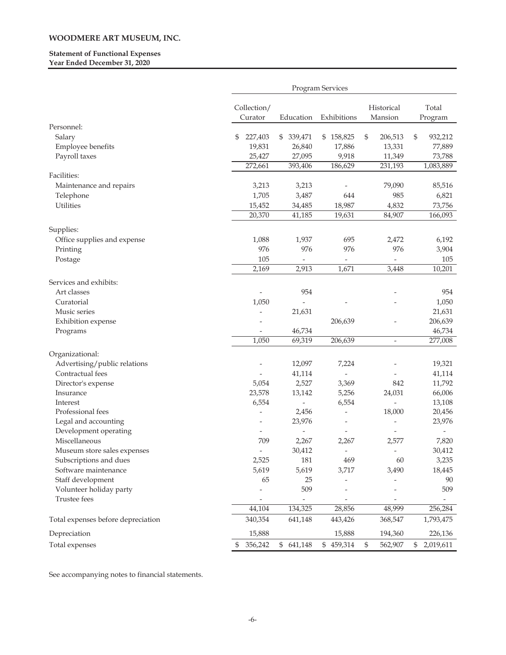#### **Statement of Functional Expenses Year Ended December 31, 2020**

|                                    |                        | Program Services         |                          |                          |                             |
|------------------------------------|------------------------|--------------------------|--------------------------|--------------------------|-----------------------------|
|                                    | Collection/<br>Curator | Education                | Exhibitions              | Historical<br>Mansion    | Total<br>Program            |
| Personnel:                         |                        |                          |                          |                          |                             |
| Salary                             | \$<br>227,403          | \$ 339,471               | \$158,825                | \$<br>206,513            | \$<br>932,212               |
| Employee benefits                  | 19,831                 | 26,840                   | 17,886                   | 13,331                   | 77,889                      |
| Payroll taxes                      | 25,427                 | 27,095                   | 9,918                    | 11,349                   | 73,788                      |
|                                    | 272,661                | 393,406                  | 186,629                  | 231,193                  | 1,083,889                   |
| Facilities:                        |                        |                          |                          |                          |                             |
| Maintenance and repairs            | 3,213                  | 3,213                    |                          | 79,090                   | 85,516                      |
| Telephone                          | 1,705                  | 3,487                    | 644                      | 985                      | 6,821                       |
| Utilities                          | 15,452                 | 34,485                   | 18,987                   | 4,832                    | 73,756                      |
|                                    | 20,370                 | 41,185                   | 19,631                   | 84,907                   | 166,093                     |
| Supplies:                          |                        |                          |                          |                          |                             |
| Office supplies and expense        | 1,088                  | 1,937                    | 695                      | 2,472                    | 6,192                       |
| Printing                           | 976                    | 976                      | 976                      | 976                      | 3,904                       |
| Postage                            | 105                    |                          | $\overline{\phantom{a}}$ | $\overline{\phantom{a}}$ | 105                         |
|                                    | 2,169                  | 2,913                    | 1,671                    | 3,448                    | 10,201                      |
|                                    |                        |                          |                          |                          |                             |
| Services and exhibits:             |                        |                          |                          |                          |                             |
| Art classes                        |                        | 954                      |                          |                          | 954                         |
| Curatorial                         | 1,050                  | $\overline{a}$           |                          |                          | 1,050                       |
| Music series                       |                        | 21,631                   |                          |                          | 21,631                      |
| Exhibition expense                 |                        |                          | 206,639                  |                          | 206,639                     |
| Programs                           |                        | 46,734                   |                          |                          | 46,734                      |
|                                    | 1,050                  | 69,319                   | 206,639                  | $\overline{\phantom{a}}$ | 277,008                     |
| Organizational:                    |                        |                          |                          |                          |                             |
| Advertising/public relations       |                        | 12,097                   | 7,224                    |                          | 19,321                      |
| Contractual fees                   |                        | 41,114                   |                          |                          | 41,114                      |
| Director's expense                 | 5,054                  | 2,527                    | 3,369                    | 842                      | 11,792                      |
| Insurance                          | 23,578                 | 13,142                   | 5,256                    | 24,031                   | 66,006                      |
| Interest                           | 6,554                  | $\overline{\phantom{a}}$ | 6,554                    |                          | 13,108                      |
| Professional fees                  |                        | 2,456                    | $\overline{\phantom{a}}$ | 18,000                   | 20,456                      |
| Legal and accounting               |                        | 23,976                   |                          |                          | 23,976                      |
| Development operating              |                        |                          |                          |                          |                             |
| Miscellaneous                      | 709                    | 2,267                    | 2,267                    | 2,577                    | 7,820                       |
| Museum store sales expenses        |                        | 30,412                   |                          |                          | 30,412                      |
| Subscriptions and dues             | 2,525                  | 181                      | 469                      | 60                       | 3,235                       |
| Software maintenance               | 5,619                  | 5,619                    | 3,717                    | 3,490                    | 18,445                      |
| Staff development                  | 65                     | 25                       |                          |                          | 90                          |
| Volunteer holiday party            |                        | 509                      |                          |                          | 509                         |
| <b>Trustee fees</b>                |                        | $\qquad \qquad -$        |                          |                          |                             |
|                                    | 44,104                 | 134,325                  | 28,856                   | 48,999                   | 256,284                     |
| Total expenses before depreciation | 340,354                | 641,148                  | 443,426                  | 368,547                  | 1,793,475                   |
| Depreciation                       | 15,888                 |                          | 15,888                   | 194,360                  | 226,136                     |
| Total expenses                     | 356,242<br>\$          | \$641,148                | \$459,314                | \$<br>562,907            | 2,019,611<br>$\mathbb{S}^-$ |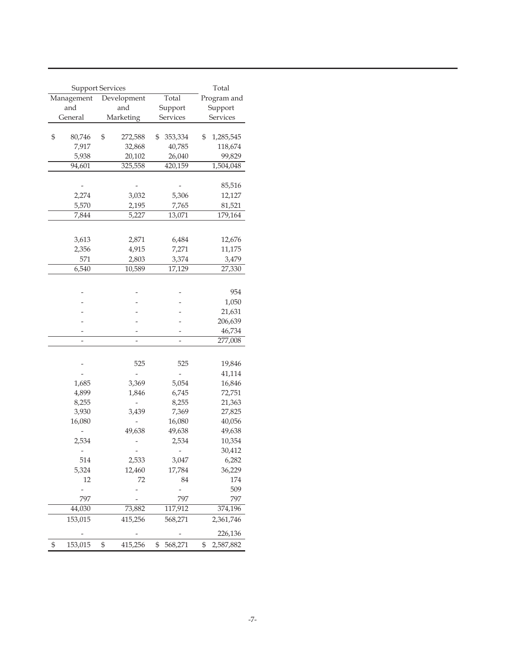| <b>Support Services</b>  |                          |                          | Total            |
|--------------------------|--------------------------|--------------------------|------------------|
| Management               | Development              | Total                    | Program and      |
| and                      | and                      | Support                  | Support          |
| General                  | Marketing                | Services                 | Services         |
|                          |                          |                          |                  |
| \$<br>80,746             | \$<br>272,588            | \$<br>353,334            | \$<br>1,285,545  |
| 7,917                    | 32,868                   | 40,785                   | 118,674          |
| 5,938                    | 20,102                   | 26,040                   | 99,829           |
| 94,601                   | 325,558                  | 420,159                  | 1,504,048        |
|                          |                          |                          |                  |
|                          |                          |                          | 85,516           |
| 2,274                    | 3,032                    | 5,306                    | 12,127           |
| 5,570                    | 2,195                    | 7,765                    | 81,521           |
| 7,844                    | 5,227                    | 13,071                   | 179,164          |
|                          |                          |                          |                  |
| 3,613                    | 2,871                    | 6,484                    | 12,676           |
| 2,356                    | 4,915                    | 7,271                    | 11,175           |
| 571                      | 2,803                    | 3,374                    | 3,479            |
| 6,540                    | 10,589                   | 17,129                   | 27,330           |
|                          |                          |                          |                  |
|                          |                          |                          | 954              |
|                          |                          |                          | 1,050            |
|                          |                          |                          | 21,631           |
|                          |                          |                          | 206,639          |
|                          |                          |                          | 46,734           |
|                          |                          |                          | 277,008          |
|                          |                          |                          |                  |
|                          |                          |                          |                  |
|                          | 525                      | 525                      | 19,846           |
|                          |                          |                          | 41,114           |
| 1,685                    | 3,369                    | 5,054                    | 16,846           |
| 4,899                    | 1,846                    | 6,745                    | 72,751           |
| 8,255                    | 3,439                    | 8,255<br>7,369           | 21,363           |
| 3,930                    |                          |                          | 27,825           |
| 16,080                   | 49,638                   | 16,080<br>49,638         | 40,056<br>49,638 |
| 2,534                    |                          | 2,534                    | 10,354           |
|                          |                          |                          | 30,412           |
| $\overline{\phantom{0}}$ | $\overline{\phantom{a}}$ | $\overline{\phantom{0}}$ | 6,282            |
| 514<br>5,324             | 2,533<br>12,460          | 3,047<br>17,784          | 36,229           |
|                          |                          |                          |                  |
| 12                       | 72                       | 84                       | 174              |
| 797                      |                          | 797                      | 509<br>797       |
|                          |                          |                          |                  |
| 44,030                   | 73,882                   | 117,912                  | 374,196          |
| 153,015                  | 415,256                  | 568,271                  | 2,361,746        |
|                          |                          |                          | 226,136          |
| \$<br>153,015            | \$<br>415,256            | \$<br>568,271            | \$<br>2,587,882  |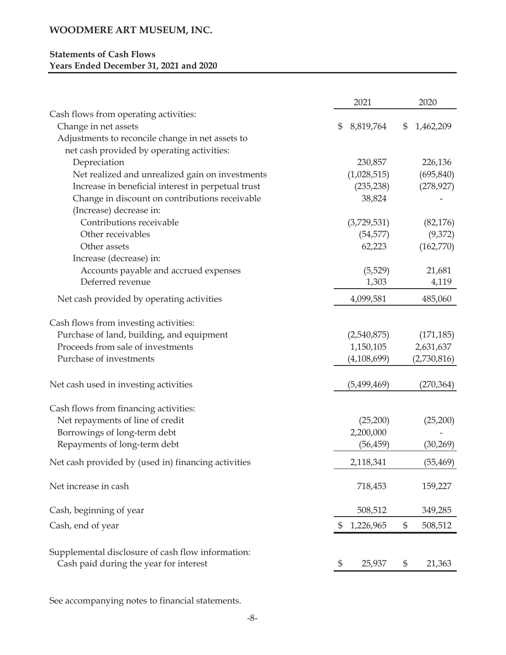## **Statements of Cash Flows Years Ended December 31, 2021 and 2020**

|                                                                                             | 2021            | 2020            |
|---------------------------------------------------------------------------------------------|-----------------|-----------------|
| Cash flows from operating activities:                                                       |                 |                 |
| Change in net assets                                                                        | 8,819,764<br>\$ | 1,462,209<br>\$ |
| Adjustments to reconcile change in net assets to                                            |                 |                 |
| net cash provided by operating activities:                                                  |                 |                 |
| Depreciation                                                                                | 230,857         | 226,136         |
| Net realized and unrealized gain on investments                                             | (1,028,515)     | (695, 840)      |
| Increase in beneficial interest in perpetual trust                                          | (235, 238)      | (278, 927)      |
| Change in discount on contributions receivable                                              | 38,824          |                 |
| (Increase) decrease in:                                                                     |                 |                 |
| Contributions receivable                                                                    | (3,729,531)     | (82, 176)       |
| Other receivables                                                                           | (54, 577)       | (9,372)         |
| Other assets                                                                                | 62,223          | (162,770)       |
| Increase (decrease) in:                                                                     |                 |                 |
| Accounts payable and accrued expenses                                                       | (5,529)         | 21,681          |
| Deferred revenue                                                                            | 1,303           | 4,119           |
| Net cash provided by operating activities                                                   | 4,099,581       | 485,060         |
| Cash flows from investing activities:                                                       |                 |                 |
| Purchase of land, building, and equipment                                                   | (2,540,875)     | (171, 185)      |
| Proceeds from sale of investments                                                           | 1,150,105       | 2,631,637       |
| Purchase of investments                                                                     | (4,108,699)     | (2,730,816)     |
| Net cash used in investing activities                                                       | (5,499,469)     | (270, 364)      |
| Cash flows from financing activities:                                                       |                 |                 |
| Net repayments of line of credit                                                            | (25,200)        | (25,200)        |
| Borrowings of long-term debt                                                                | 2,200,000       |                 |
| Repayments of long-term debt                                                                | (56, 459)       | (30, 269)       |
| Net cash provided by (used in) financing activities                                         | 2,118,341       | (55, 469)       |
| Net increase in cash                                                                        | 718,453         | 159,227         |
| Cash, beginning of year                                                                     | 508,512         | 349,285         |
| Cash, end of year                                                                           | 1,226,965<br>\$ | \$<br>508,512   |
|                                                                                             |                 |                 |
| Supplemental disclosure of cash flow information:<br>Cash paid during the year for interest | 25,937<br>\$    | \$<br>21,363    |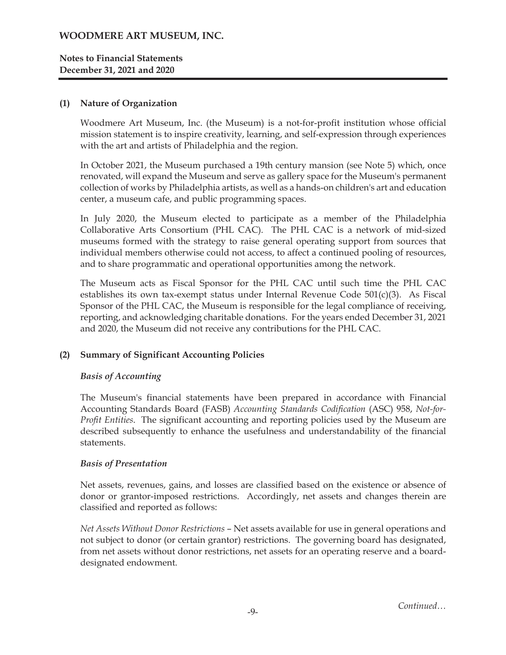**Notes to Financial Statements December 31, 2021 and 2020** 

#### **(1) Nature of Organization**

Woodmere Art Museum, Inc. (the Museum) is a not-for-profit institution whose official mission statement is to inspire creativity, learning, and self-expression through experiences with the art and artists of Philadelphia and the region.

In October 2021, the Museum purchased a 19th century mansion (see Note 5) which, once renovated, will expand the Museum and serve as gallery space for the Museum's permanent collection of works by Philadelphia artists, as well as a hands-on children's art and education center, a museum cafe, and public programming spaces.

In July 2020, the Museum elected to participate as a member of the Philadelphia Collaborative Arts Consortium (PHL CAC). The PHL CAC is a network of mid-sized museums formed with the strategy to raise general operating support from sources that individual members otherwise could not access, to affect a continued pooling of resources, and to share programmatic and operational opportunities among the network.

The Museum acts as Fiscal Sponsor for the PHL CAC until such time the PHL CAC establishes its own tax-exempt status under Internal Revenue Code  $501(c)(3)$ . As Fiscal Sponsor of the PHL CAC, the Museum is responsible for the legal compliance of receiving, reporting, and acknowledging charitable donations. For the years ended December 31, 2021 and 2020, the Museum did not receive any contributions for the PHL CAC.

#### **(2) Summary of Significant Accounting Policies**

#### *Basis of Accounting*

The Museum's financial statements have been prepared in accordance with Financial Accounting Standards Board (FASB) *Accounting Standards Codification* (ASC) 958, *Not-for-Profit Entities*. The significant accounting and reporting policies used by the Museum are described subsequently to enhance the usefulness and understandability of the financial statements.

#### *Basis of Presentation*

Net assets, revenues, gains, and losses are classified based on the existence or absence of donor or grantor-imposed restrictions. Accordingly, net assets and changes therein are classified and reported as follows:

*Net Assets Without Donor Restrictions* – Net assets available for use in general operations and not subject to donor (or certain grantor) restrictions. The governing board has designated, from net assets without donor restrictions, net assets for an operating reserve and a boarddesignated endowment.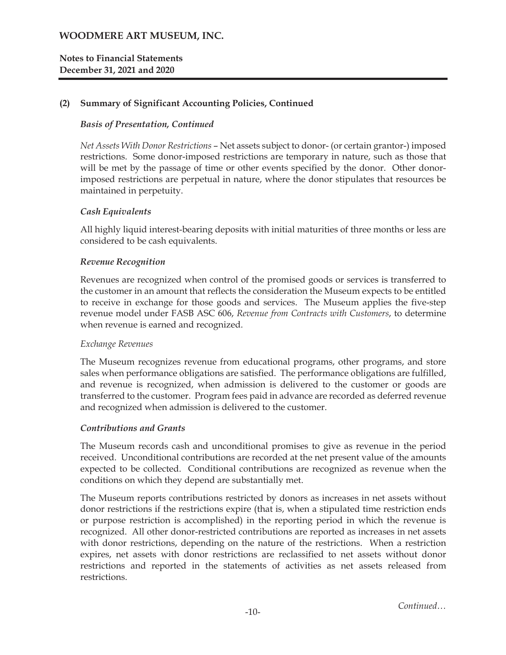#### **(2) Summary of Significant Accounting Policies, Continued**

#### *Basis of Presentation, Continued*

*Net Assets With Donor Restrictions* – Net assets subject to donor- (or certain grantor-) imposed restrictions. Some donor-imposed restrictions are temporary in nature, such as those that will be met by the passage of time or other events specified by the donor. Other donorimposed restrictions are perpetual in nature, where the donor stipulates that resources be maintained in perpetuity.

## *Cash Equivalents*

All highly liquid interest-bearing deposits with initial maturities of three months or less are considered to be cash equivalents.

## *Revenue Recognition*

Revenues are recognized when control of the promised goods or services is transferred to the customer in an amount that reflects the consideration the Museum expects to be entitled to receive in exchange for those goods and services. The Museum applies the five-step revenue model under FASB ASC 606, *Revenue from Contracts with Customers*, to determine when revenue is earned and recognized.

#### *Exchange Revenues*

The Museum recognizes revenue from educational programs, other programs, and store sales when performance obligations are satisfied. The performance obligations are fulfilled, and revenue is recognized, when admission is delivered to the customer or goods are transferred to the customer. Program fees paid in advance are recorded as deferred revenue and recognized when admission is delivered to the customer.

#### *Contributions and Grants*

The Museum records cash and unconditional promises to give as revenue in the period received. Unconditional contributions are recorded at the net present value of the amounts expected to be collected. Conditional contributions are recognized as revenue when the conditions on which they depend are substantially met.

The Museum reports contributions restricted by donors as increases in net assets without donor restrictions if the restrictions expire (that is, when a stipulated time restriction ends or purpose restriction is accomplished) in the reporting period in which the revenue is recognized. All other donor-restricted contributions are reported as increases in net assets with donor restrictions, depending on the nature of the restrictions. When a restriction expires, net assets with donor restrictions are reclassified to net assets without donor restrictions and reported in the statements of activities as net assets released from restrictions.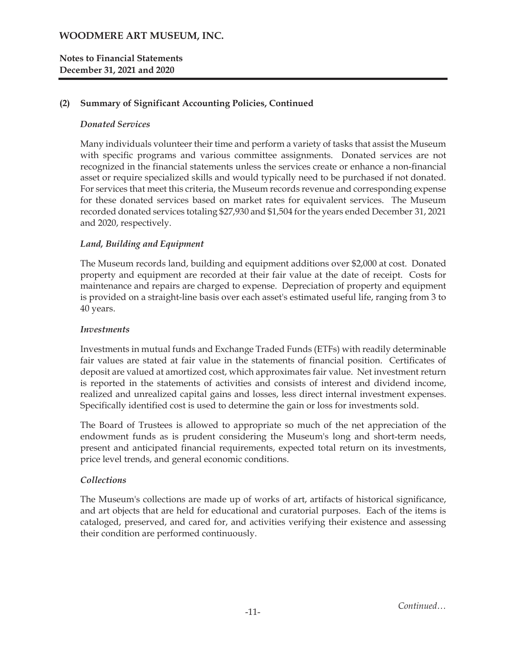## **(2) Summary of Significant Accounting Policies, Continued**

#### *Donated Services*

Many individuals volunteer their time and perform a variety of tasks that assist the Museum with specific programs and various committee assignments. Donated services are not recognized in the financial statements unless the services create or enhance a non-financial asset or require specialized skills and would typically need to be purchased if not donated. For services that meet this criteria, the Museum records revenue and corresponding expense for these donated services based on market rates for equivalent services. The Museum recorded donated services totaling \$27,930 and \$1,504 for the years ended December 31, 2021 and 2020, respectively.

## *Land, Building and Equipment*

The Museum records land, building and equipment additions over \$2,000 at cost. Donated property and equipment are recorded at their fair value at the date of receipt. Costs for maintenance and repairs are charged to expense. Depreciation of property and equipment is provided on a straight-line basis over each asset's estimated useful life, ranging from 3 to 40 years.

#### *Investments*

Investments in mutual funds and Exchange Traded Funds (ETFs) with readily determinable fair values are stated at fair value in the statements of financial position. Certificates of deposit are valued at amortized cost, which approximates fair value. Net investment return is reported in the statements of activities and consists of interest and dividend income, realized and unrealized capital gains and losses, less direct internal investment expenses. Specifically identified cost is used to determine the gain or loss for investments sold.

The Board of Trustees is allowed to appropriate so much of the net appreciation of the endowment funds as is prudent considering the Museum's long and short-term needs, present and anticipated financial requirements, expected total return on its investments, price level trends, and general economic conditions.

#### *Collections*

The Museum's collections are made up of works of art, artifacts of historical significance, and art objects that are held for educational and curatorial purposes. Each of the items is cataloged, preserved, and cared for, and activities verifying their existence and assessing their condition are performed continuously.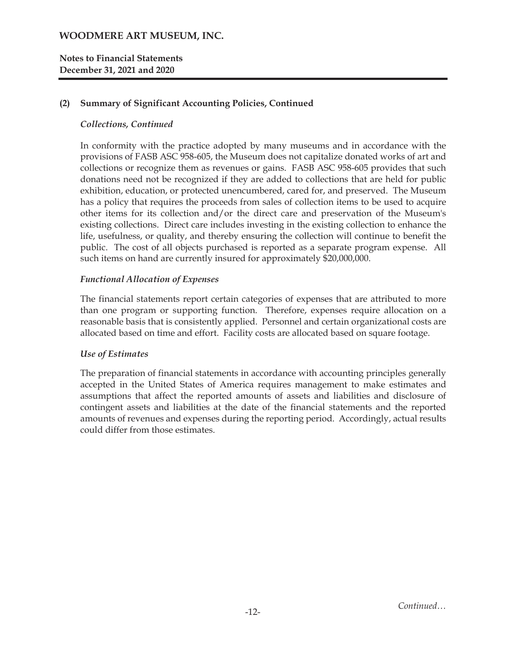## **(2) Summary of Significant Accounting Policies, Continued**

#### *Collections, Continued*

In conformity with the practice adopted by many museums and in accordance with the provisions of FASB ASC 958-605, the Museum does not capitalize donated works of art and collections or recognize them as revenues or gains. FASB ASC 958-605 provides that such donations need not be recognized if they are added to collections that are held for public exhibition, education, or protected unencumbered, cared for, and preserved. The Museum has a policy that requires the proceeds from sales of collection items to be used to acquire other items for its collection and/or the direct care and preservation of the Museum's existing collections. Direct care includes investing in the existing collection to enhance the life, usefulness, or quality, and thereby ensuring the collection will continue to benefit the public. The cost of all objects purchased is reported as a separate program expense. All such items on hand are currently insured for approximately \$20,000,000.

#### *Functional Allocation of Expenses*

The financial statements report certain categories of expenses that are attributed to more than one program or supporting function. Therefore, expenses require allocation on a reasonable basis that is consistently applied. Personnel and certain organizational costs are allocated based on time and effort. Facility costs are allocated based on square footage.

#### *Use of Estimates*

The preparation of financial statements in accordance with accounting principles generally accepted in the United States of America requires management to make estimates and assumptions that affect the reported amounts of assets and liabilities and disclosure of contingent assets and liabilities at the date of the financial statements and the reported amounts of revenues and expenses during the reporting period. Accordingly, actual results could differ from those estimates.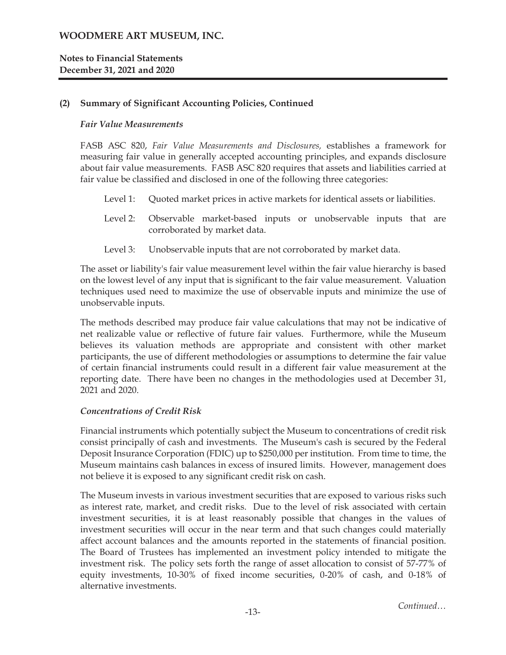#### **(2) Summary of Significant Accounting Policies, Continued**

#### *Fair Value Measurements*

FASB ASC 820, *Fair Value Measurements and Disclosures,* establishes a framework for measuring fair value in generally accepted accounting principles, and expands disclosure about fair value measurements. FASB ASC 820 requires that assets and liabilities carried at fair value be classified and disclosed in one of the following three categories:

- Level 1: Quoted market prices in active markets for identical assets or liabilities.
- Level 2: Observable market-based inputs or unobservable inputs that are corroborated by market data.
- Level 3: Unobservable inputs that are not corroborated by market data.

The asset or liability's fair value measurement level within the fair value hierarchy is based on the lowest level of any input that is significant to the fair value measurement. Valuation techniques used need to maximize the use of observable inputs and minimize the use of unobservable inputs.

The methods described may produce fair value calculations that may not be indicative of net realizable value or reflective of future fair values. Furthermore, while the Museum believes its valuation methods are appropriate and consistent with other market participants, the use of different methodologies or assumptions to determine the fair value of certain financial instruments could result in a different fair value measurement at the reporting date. There have been no changes in the methodologies used at December 31, 2021 and 2020.

#### *Concentrations of Credit Risk*

Financial instruments which potentially subject the Museum to concentrations of credit risk consist principally of cash and investments. The Museum's cash is secured by the Federal Deposit Insurance Corporation (FDIC) up to \$250,000 per institution. From time to time, the Museum maintains cash balances in excess of insured limits. However, management does not believe it is exposed to any significant credit risk on cash.

The Museum invests in various investment securities that are exposed to various risks such as interest rate, market, and credit risks. Due to the level of risk associated with certain investment securities, it is at least reasonably possible that changes in the values of investment securities will occur in the near term and that such changes could materially affect account balances and the amounts reported in the statements of financial position. The Board of Trustees has implemented an investment policy intended to mitigate the investment risk. The policy sets forth the range of asset allocation to consist of 57-77% of equity investments, 10-30% of fixed income securities, 0-20% of cash, and 0-18% of alternative investments.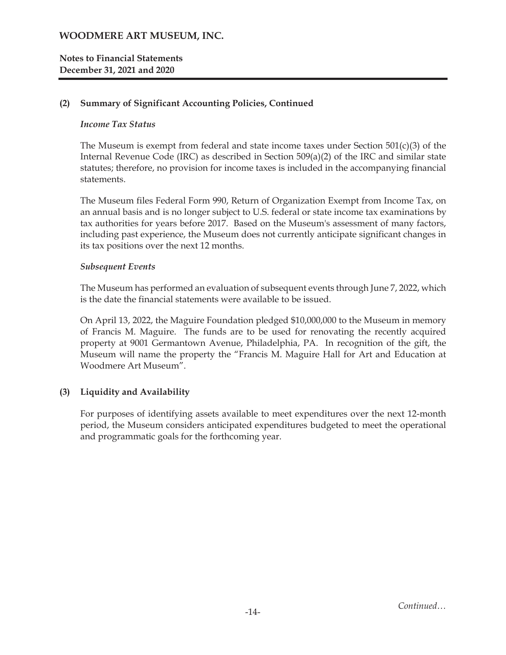#### **(2) Summary of Significant Accounting Policies, Continued**

#### *Income Tax Status*

The Museum is exempt from federal and state income taxes under Section  $501(c)(3)$  of the Internal Revenue Code (IRC) as described in Section 509(a)(2) of the IRC and similar state statutes; therefore, no provision for income taxes is included in the accompanying financial statements.

The Museum files Federal Form 990, Return of Organization Exempt from Income Tax, on an annual basis and is no longer subject to U.S. federal or state income tax examinations by tax authorities for years before 2017. Based on the Museum's assessment of many factors, including past experience, the Museum does not currently anticipate significant changes in its tax positions over the next 12 months.

#### *Subsequent Events*

The Museum has performed an evaluation of subsequent events through June 7, 2022, which is the date the financial statements were available to be issued.

On April 13, 2022, the Maguire Foundation pledged \$10,000,000 to the Museum in memory of Francis M. Maguire. The funds are to be used for renovating the recently acquired property at 9001 Germantown Avenue, Philadelphia, PA. In recognition of the gift, the Museum will name the property the "Francis M. Maguire Hall for Art and Education at Woodmere Art Museum".

## **(3) Liquidity and Availability**

For purposes of identifying assets available to meet expenditures over the next 12-month period, the Museum considers anticipated expenditures budgeted to meet the operational and programmatic goals for the forthcoming year.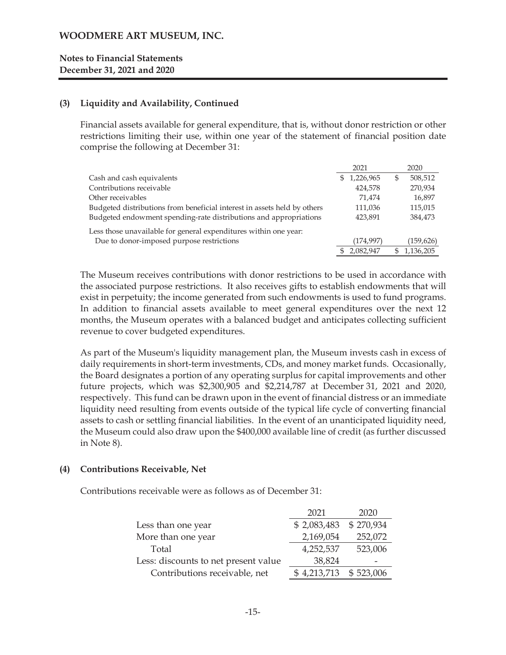#### **(3) Liquidity and Availability, Continued**

Financial assets available for general expenditure, that is, without donor restriction or other restrictions limiting their use, within one year of the statement of financial position date comprise the following at December 31:

|                                                                          | 2021        | 2020            |
|--------------------------------------------------------------------------|-------------|-----------------|
| Cash and cash equivalents                                                | \$1,226,965 | 508,512<br>\$   |
| Contributions receivable                                                 | 424,578     | 270,934         |
| Other receivables                                                        | 71.474      | 16,897          |
| Budgeted distributions from beneficial interest in assets held by others | 111,036     | 115,015         |
| Budgeted endowment spending-rate distributions and appropriations        | 423.891     | 384,473         |
| Less those unavailable for general expenditures within one year:         |             |                 |
| Due to donor-imposed purpose restrictions                                | (174,997)   | (159, 626)      |
|                                                                          | \$2.082.947 | 1,136,205<br>S. |

The Museum receives contributions with donor restrictions to be used in accordance with the associated purpose restrictions. It also receives gifts to establish endowments that will exist in perpetuity; the income generated from such endowments is used to fund programs. In addition to financial assets available to meet general expenditures over the next 12 months, the Museum operates with a balanced budget and anticipates collecting sufficient revenue to cover budgeted expenditures.

As part of the Museum's liquidity management plan, the Museum invests cash in excess of daily requirements in short-term investments, CDs, and money market funds. Occasionally, the Board designates a portion of any operating surplus for capital improvements and other future projects, which was \$2,300,905 and \$2,214,787 at December 31, 2021 and 2020, respectively. This fund can be drawn upon in the event of financial distress or an immediate liquidity need resulting from events outside of the typical life cycle of converting financial assets to cash or settling financial liabilities. In the event of an unanticipated liquidity need, the Museum could also draw upon the \$400,000 available line of credit (as further discussed in Note 8).

#### **(4) Contributions Receivable, Net**

Contributions receivable were as follows as of December 31:

|                                      | 2021                    | 2020      |
|--------------------------------------|-------------------------|-----------|
| Less than one year                   | \$2,083,483             | \$270,934 |
| More than one year                   | 2,169,054               | 252,072   |
| Total                                | 4,252,537               | 523,006   |
| Less: discounts to net present value | 38,824                  | -         |
| Contributions receivable, net        | $$4,213,713$ $$523,006$ |           |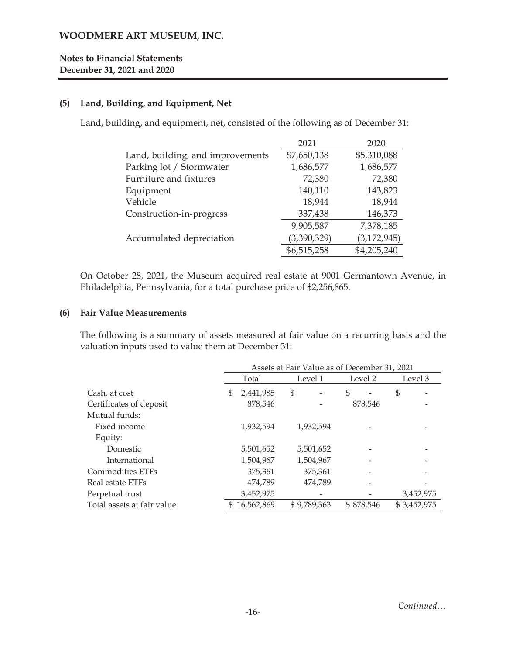#### **(5) Land, Building, and Equipment, Net**

Land, building, and equipment, net, consisted of the following as of December 31:

|                                  | 2021        | 2020          |
|----------------------------------|-------------|---------------|
| Land, building, and improvements | \$7,650,138 | \$5,310,088   |
| Parking lot / Stormwater         | 1,686,577   | 1,686,577     |
| Furniture and fixtures           | 72,380      | 72,380        |
| Equipment                        | 140,110     | 143,823       |
| Vehicle                          | 18,944      | 18,944        |
| Construction-in-progress         | 337,438     | 146,373       |
|                                  | 9,905,587   | 7,378,185     |
| Accumulated depreciation         | (3,390,329) | (3, 172, 945) |
|                                  | \$6,515,258 | \$4,205,240   |

On October 28, 2021, the Museum acquired real estate at 9001 Germantown Avenue, in Philadelphia, Pennsylvania, for a total purchase price of \$2,256,865.

#### **(6) Fair Value Measurements**

The following is a summary of assets measured at fair value on a recurring basis and the valuation inputs used to value them at December 31:

|                            |     | Assets at Fair Value as of December 31, 2021 |    |             |    |           |    |             |  |
|----------------------------|-----|----------------------------------------------|----|-------------|----|-----------|----|-------------|--|
|                            |     | Total                                        |    | Level 1     |    | Level 2   |    | Level 3     |  |
| Cash, at cost              | \$  | 2,441,985                                    | \$ |             | \$ |           | \$ |             |  |
| Certificates of deposit    |     | 878,546                                      |    |             |    | 878,546   |    |             |  |
| Mutual funds:              |     |                                              |    |             |    |           |    |             |  |
| Fixed income               |     | 1,932,594                                    |    | 1,932,594   |    |           |    |             |  |
| Equity:                    |     |                                              |    |             |    |           |    |             |  |
| Domestic                   |     | 5,501,652                                    |    | 5,501,652   |    |           |    |             |  |
| International              |     | 1,504,967                                    |    | 1,504,967   |    |           |    |             |  |
| Commodities ETFs           |     | 375,361                                      |    | 375,361     |    |           |    |             |  |
| Real estate ETFs           |     | 474,789                                      |    | 474,789     |    |           |    |             |  |
| Perpetual trust            |     | 3,452,975                                    |    |             |    |           |    | 3,452,975   |  |
| Total assets at fair value | \$. | 16,562,869                                   |    | \$9,789,363 |    | \$878,546 |    | \$3,452,975 |  |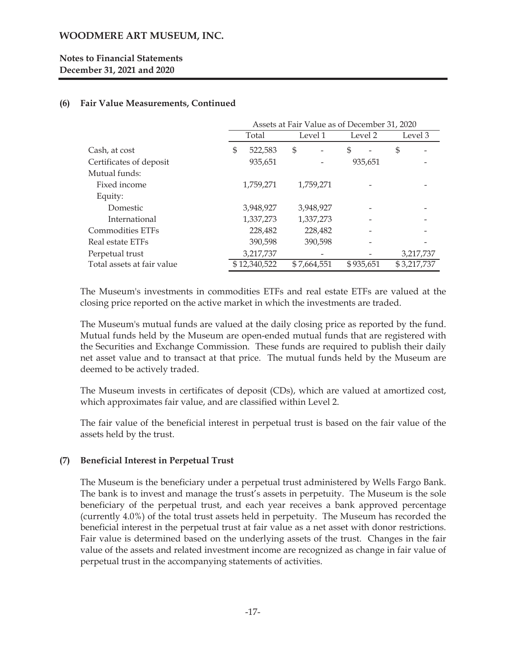|                            | Assets at Fair Value as of December 31, 2020 |             |           |             |  |
|----------------------------|----------------------------------------------|-------------|-----------|-------------|--|
|                            | Total                                        | Level 1     | Level 2   | Level 3     |  |
| Cash, at cost              | 522,583<br>\$                                | \$          | \$        | \$          |  |
| Certificates of deposit    | 935,651                                      |             | 935,651   |             |  |
| Mutual funds:              |                                              |             |           |             |  |
| Fixed income               | 1,759,271                                    | 1,759,271   |           |             |  |
| Equity:                    |                                              |             |           |             |  |
| Domestic                   | 3.948.927                                    | 3,948,927   |           |             |  |
| International              | 1,337,273                                    | 1,337,273   |           |             |  |
| <b>Commodities ETFs</b>    | 228,482                                      | 228,482     |           |             |  |
| Real estate ETFs           | 390,598                                      | 390,598     |           |             |  |
| Perpetual trust            | 3,217,737                                    |             |           | 3,217,737   |  |
| Total assets at fair value | \$12,340,522                                 | \$7,664,551 | \$935,651 | \$3,217,737 |  |

#### **(6) Fair Value Measurements, Continued**

The Museum's investments in commodities ETFs and real estate ETFs are valued at the closing price reported on the active market in which the investments are traded.

The Museum's mutual funds are valued at the daily closing price as reported by the fund. Mutual funds held by the Museum are open-ended mutual funds that are registered with the Securities and Exchange Commission. These funds are required to publish their daily net asset value and to transact at that price. The mutual funds held by the Museum are deemed to be actively traded.

The Museum invests in certificates of deposit (CDs), which are valued at amortized cost, which approximates fair value, and are classified within Level 2.

The fair value of the beneficial interest in perpetual trust is based on the fair value of the assets held by the trust.

#### **(7) Beneficial Interest in Perpetual Trust**

The Museum is the beneficiary under a perpetual trust administered by Wells Fargo Bank. The bank is to invest and manage the trust's assets in perpetuity. The Museum is the sole beneficiary of the perpetual trust, and each year receives a bank approved percentage (currently 4.0%) of the total trust assets held in perpetuity. The Museum has recorded the beneficial interest in the perpetual trust at fair value as a net asset with donor restrictions. Fair value is determined based on the underlying assets of the trust. Changes in the fair value of the assets and related investment income are recognized as change in fair value of perpetual trust in the accompanying statements of activities.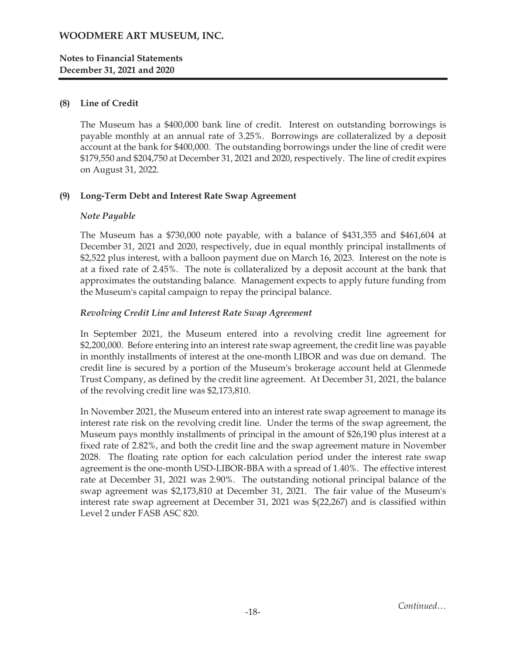#### **(8) Line of Credit**

The Museum has a \$400,000 bank line of credit. Interest on outstanding borrowings is payable monthly at an annual rate of 3.25%. Borrowings are collateralized by a deposit account at the bank for \$400,000. The outstanding borrowings under the line of credit were \$179,550 and \$204,750 at December 31, 2021 and 2020, respectively. The line of credit expires on August 31, 2022.

## **(9) Long-Term Debt and Interest Rate Swap Agreement**

#### *Note Payable*

The Museum has a \$730,000 note payable, with a balance of \$431,355 and \$461,604 at December 31, 2021 and 2020, respectively, due in equal monthly principal installments of \$2,522 plus interest, with a balloon payment due on March 16, 2023. Interest on the note is at a fixed rate of 2.45%. The note is collateralized by a deposit account at the bank that approximates the outstanding balance. Management expects to apply future funding from the Museum's capital campaign to repay the principal balance.

#### *Revolving Credit Line and Interest Rate Swap Agreement*

In September 2021, the Museum entered into a revolving credit line agreement for \$2,200,000. Before entering into an interest rate swap agreement, the credit line was payable in monthly installments of interest at the one-month LIBOR and was due on demand. The credit line is secured by a portion of the Museum's brokerage account held at Glenmede Trust Company, as defined by the credit line agreement. At December 31, 2021, the balance of the revolving credit line was \$2,173,810.

In November 2021, the Museum entered into an interest rate swap agreement to manage its interest rate risk on the revolving credit line. Under the terms of the swap agreement, the Museum pays monthly installments of principal in the amount of \$26,190 plus interest at a fixed rate of 2.82%, and both the credit line and the swap agreement mature in November 2028. The floating rate option for each calculation period under the interest rate swap agreement is the one-month USD-LIBOR-BBA with a spread of 1.40%. The effective interest rate at December 31, 2021 was 2.90%. The outstanding notional principal balance of the swap agreement was \$2,173,810 at December 31, 2021. The fair value of the Museum's interest rate swap agreement at December 31, 2021 was \$(22,267) and is classified within Level 2 under FASB ASC 820.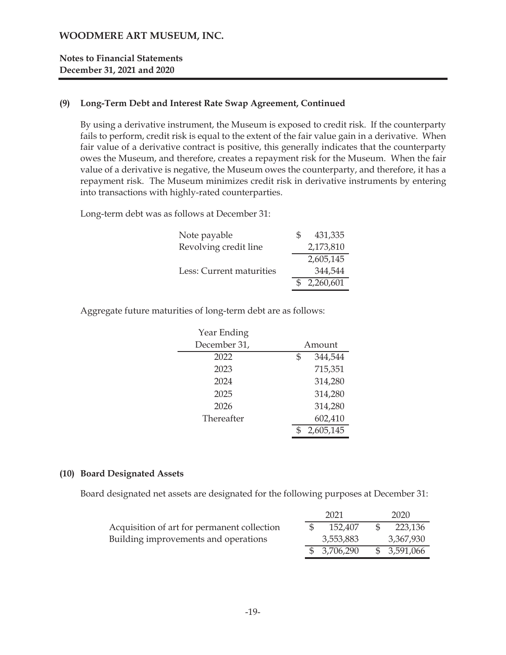**Notes to Financial Statements December 31, 2021 and 2020** 

#### **(9) Long-Term Debt and Interest Rate Swap Agreement, Continued**

By using a derivative instrument, the Museum is exposed to credit risk. If the counterparty fails to perform, credit risk is equal to the extent of the fair value gain in a derivative. When fair value of a derivative contract is positive, this generally indicates that the counterparty owes the Museum, and therefore, creates a repayment risk for the Museum. When the fair value of a derivative is negative, the Museum owes the counterparty, and therefore, it has a repayment risk. The Museum minimizes credit risk in derivative instruments by entering into transactions with highly-rated counterparties.

Long-term debt was as follows at December 31:

| Note payable             | 431,335     |
|--------------------------|-------------|
| Revolving credit line    | 2,173,810   |
|                          | 2,605,145   |
| Less: Current maturities | 344.544     |
|                          | \$2,260,601 |
|                          |             |

Aggregate future maturities of long-term debt are as follows:

| Amount        |
|---------------|
| \$<br>344,544 |
| 715,351       |
| 314,280       |
| 314,280       |
| 314,280       |
| 602,410       |
| 2,605,145     |
|               |

#### **(10) Board Designated Assets**

Board designated net assets are designated for the following purposes at December 31:

|                                             | 2021        | 2020        |
|---------------------------------------------|-------------|-------------|
| Acquisition of art for permanent collection | 152.407     | 223,136     |
| Building improvements and operations        | 3,553,883   | 3,367,930   |
|                                             | \$3,706,290 | \$3,591,066 |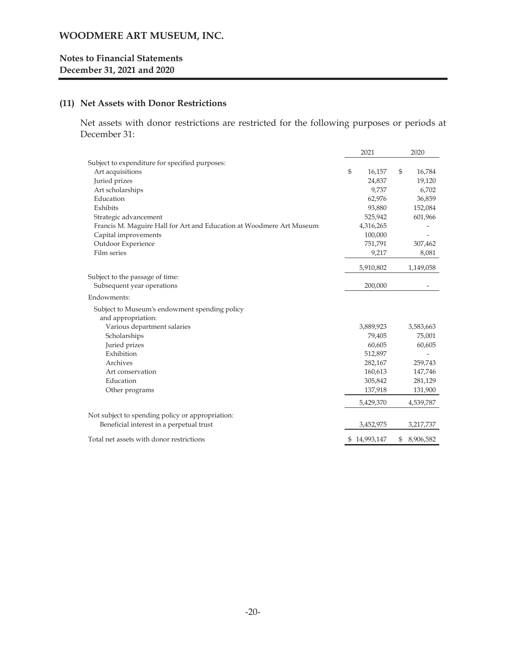## **Notes to Financial Statements December 31, 2021 and 2020**

## **(11) Net Assets with Donor Restrictions**

Net assets with donor restrictions are restricted for the following purposes or periods at December 31:

|                                                                                              | 2021         | 2020            |
|----------------------------------------------------------------------------------------------|--------------|-----------------|
| Subject to expenditure for specified purposes:                                               |              |                 |
| Art acquisitions                                                                             | \$<br>16,157 | \$<br>16,784    |
| Juried prizes                                                                                | 24,837       | 19,120          |
| Art scholarships                                                                             | 9,737        | 6,702           |
| Education                                                                                    | 62,976       | 36,859          |
| Exhibits                                                                                     | 93,880       | 152,084         |
| Strategic advancement                                                                        | 525,942      | 601,966         |
| Francis M. Maguire Hall for Art and Education at Woodmere Art Museum                         | 4,316,265    |                 |
| Capital improvements                                                                         | 100,000      |                 |
| Outdoor Experience                                                                           | 751,791      | 307,462         |
| Film series                                                                                  | 9,217        | 8,081           |
|                                                                                              | 5,910,802    | 1,149,058       |
| Subject to the passage of time:                                                              |              |                 |
| Subsequent year operations                                                                   | 200,000      |                 |
| Endowments:                                                                                  |              |                 |
| Subject to Museum's endowment spending policy<br>and appropriation:                          |              |                 |
| Various department salaries                                                                  | 3,889,923    | 3,583,663       |
| Scholarships                                                                                 | 79,405       | 75,001          |
| Juried prizes                                                                                | 60,605       | 60,605          |
| Exhibition                                                                                   | 512,897      |                 |
| Archives                                                                                     | 282,167      | 259,743         |
| Art conservation                                                                             | 160,613      | 147,746         |
| Education                                                                                    | 305,842      | 281,129         |
| Other programs                                                                               | 137,918      | 131,900         |
|                                                                                              | 5,429,370    | 4,539,787       |
|                                                                                              |              |                 |
| Not subject to spending policy or appropriation:<br>Beneficial interest in a perpetual trust | 3,452,975    | 3,217,737       |
|                                                                                              |              |                 |
| Total net assets with donor restrictions                                                     | \$14,993,147 | \$<br>8,906,582 |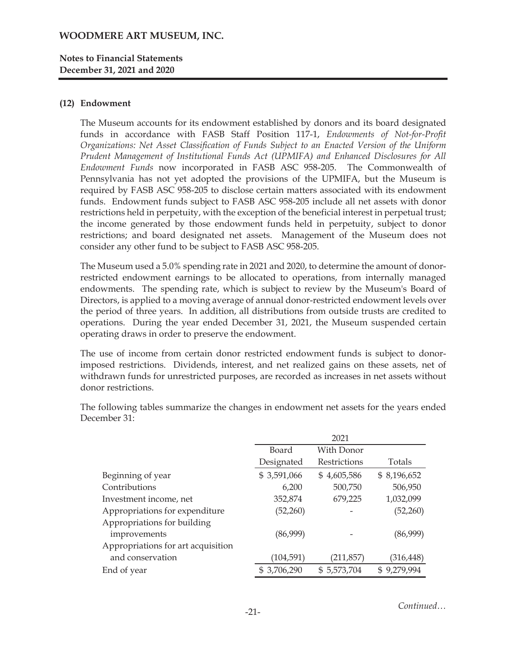**Notes to Financial Statements December 31, 2021 and 2020** 

#### **(12) Endowment**

The Museum accounts for its endowment established by donors and its board designated funds in accordance with FASB Staff Position 117-1, *Endowments of Not-for-Profit Organizations: Net Asset Classification of Funds Subject to an Enacted Version of the Uniform Prudent Management of Institutional Funds Act (UPMIFA) and Enhanced Disclosures for All Endowment Funds* now incorporated in FASB ASC 958-205. The Commonwealth of Pennsylvania has not yet adopted the provisions of the UPMIFA, but the Museum is required by FASB ASC 958-205 to disclose certain matters associated with its endowment funds. Endowment funds subject to FASB ASC 958-205 include all net assets with donor restrictions held in perpetuity, with the exception of the beneficial interest in perpetual trust; the income generated by those endowment funds held in perpetuity, subject to donor restrictions; and board designated net assets. Management of the Museum does not consider any other fund to be subject to FASB ASC 958-205.

The Museum used a 5.0% spending rate in 2021 and 2020, to determine the amount of donorrestricted endowment earnings to be allocated to operations, from internally managed endowments. The spending rate, which is subject to review by the Museum's Board of Directors, is applied to a moving average of annual donor-restricted endowment levels over the period of three years. In addition, all distributions from outside trusts are credited to operations. During the year ended December 31, 2021, the Museum suspended certain operating draws in order to preserve the endowment.

The use of income from certain donor restricted endowment funds is subject to donorimposed restrictions. Dividends, interest, and net realized gains on these assets, net of withdrawn funds for unrestricted purposes, are recorded as increases in net assets without donor restrictions.

|                                    |             | 2021                |             |
|------------------------------------|-------------|---------------------|-------------|
|                                    | Board       | With Donor          |             |
|                                    | Designated  | <b>Restrictions</b> | Totals      |
| Beginning of year                  | \$3,591,066 | \$4,605,586         | \$8,196,652 |
| Contributions                      | 6,200       | 500,750             | 506,950     |
| Investment income, net             | 352,874     | 679,225             | 1,032,099   |
| Appropriations for expenditure     | (52,260)    |                     | (52,260)    |
| Appropriations for building        |             |                     |             |
| improvements                       | (86,999)    |                     | (86,999)    |
| Appropriations for art acquisition |             |                     |             |
| and conservation                   | (104, 591)  | (211, 857)          | (316,448)   |
| End of year                        | \$3,706,290 | \$5,573,704         | \$9,279,994 |

The following tables summarize the changes in endowment net assets for the years ended December 31: